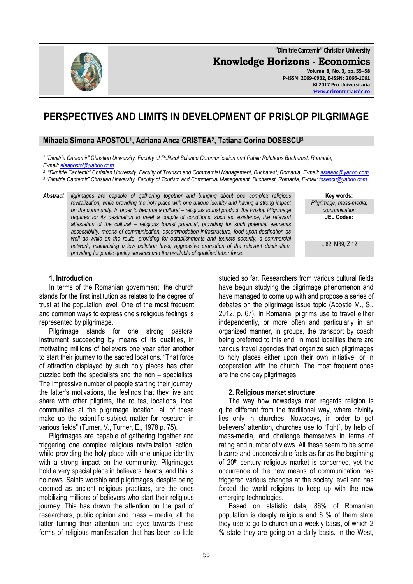

**"Dimitrie Cantemir" Christian University Knowledge Horizons - Economics Volume 8, No. 3, pp. 55–58 P-ISSN: 2069-0932, E-ISSN: 2066-1061**

# **PERSPECTIVES AND LIMITS IN DEVELOPMENT OF PRISLOP PILGRIMAGE**

## **Mihaela Simona APOSTOL<sup>1</sup> , Adriana Anca CRISTEA<sup>2</sup> , Tatiana Corina DOSESCU<sup>3</sup>**

*1 "Dimitrie Cantemir" Christian University, Faculty of Political Science Communication and Public Relations Bucharest, Romania, E-mail: [elaapostol@yahoo.com](mailto:elaapostol@yahoo.com)*

*2 "Dimitrie Cantemir" Christian University, Faculty of Tourism and Commercial Management, Bucharest, Romania, E-mail[: astearic@yahoo.com](mailto:astearic@yahoo.com) 3 "Dimitrie Cantemir" Christian University, Faculty of Tourism and Commercial Management, Bucharest, Romania, E-mail[: tdsescu@yahoo.com](mailto:tdsescu@yahoo.com)*

*Abstract ilgrimages are capable of gathering together and bringing about one complex religious revitalization, while providing the holy place with one unique identity and having a strong impact*  on the community. In order to become a cultural – religious tourist product, the Prislop Pilgrimage *requires for its destination to meet a couple of conditions, such as: existence, the relevant attestation of the cultural – religious tourist potential, providing for such potential elements accessibility, means of communication, accommodation infrastructure, food upon destination as well as while on the route, providing for establishments and tourists security, a commercial network, maintaining a low pollution level, aggressive promotion of the relevant destination, providing for public quality services and the available of qualified labor force.*

#### **1. Introduction**

In terms of the Romanian government, the church stands for the first institution as relates to the degree of trust at the population level. One of the most frequent and common ways to express one's religious feelings is represented by pilgrimage.

Pilgrimage stands for one strong pastoral instrument succeeding by means of its qualities, in motivating millions of believers one year after another to start their journey to the sacred locations. "That force of attraction displayed by such holy places has often puzzled both the specialists and the non – specialists. The impressive number of people starting their journey, the latter's motivations, the feelings that they live and share with other pilgrims, the routes, locations, local communities at the pilgrimage location, all of these make up the scientific subject matter for research in various fields" (Turner, V., Turner, E., 1978 p. 75).

Pilgrimages are capable of gathering together and triggering one complex religious revitalization action, while providing the holy place with one unique identity with a strong impact on the community. Pilgrimages hold a very special place in believers' hearts, and this is no news. Saints worship and pilgrimages, despite being deemed as ancient religious practices, are the ones mobilizing millions of believers who start their religious journey. This has drawn the attention on the part of researchers, public opinion and mass – media, all the latter turning their attention and eyes towards these forms of religious manifestation that has been so little

studied so far. Researchers from various cultural fields have begun studying the pilgrimage phenomenon and have managed to come up with and propose a series of debates on the pilgrimage issue topic (Apostle M., S., 2012. p. 67). In Romania, pilgrims use to travel either independently, or more often and particularly in an organized manner, in groups, the transport by coach being preferred to this end. In most localities there are various travel agencies that organize such pilgrimages to holy places either upon their own initiative, or in cooperation with the church. The most frequent ones are the one day pilgrimages.

### **2. Religious market structure**

The way how nowadays man regards religion is quite different from the traditional way, where divinity lies only in churches. Nowadays, in order to get believers' attention, churches use to "fight", by help of mass-media, and challenge themselves in terms of rating and number of views. All these seem to be some bizarre and unconceivable facts as far as the beginning of 20<sup>th</sup> century religious market is concerned, yet the occurrence of the new means of communication has triggered various changes at the society level and has forced the world religions to keep up with the new emerging technologies.

Based on statistic data, 86% of Romanian population is deeply religious and 6 % of them state they use to go to church on a weekly basis, of which 2 % state they are going on a daily basis. In the West,

**Key words:** *Pilgrimage, mass-media, comunnication* **JEL Codes:**

L 82, M39, Z 12

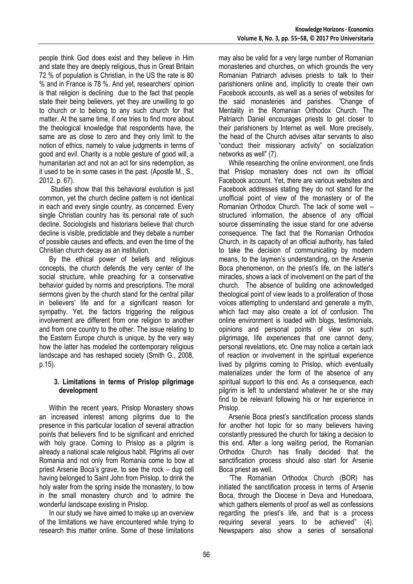people think God does exist and they believe in Him and state they are deeply religious, thus in Great Britain 72 % of population is Christian, in the US the rate is 80 % and in France is 78 %. And yet, researchers' opinion is that religion is declining due to the fact that people state their being believers, yet they are unwilling to go to church or to belong to any such church for that matter. At the same time, if one tries to find more about the theological knowledge that respondents have, the same are as close to zero and they only limit to the notion of ethics, namely to value judgments in terms of good and evil. Charity is a noble gesture of good will, a humanitarian act and not an act for sins redemption, as it used to be in some cases in the past. (Apostle M., S., 2012. p. 67).

Studies show that this behavioral evolution is just common, yet the church decline pattern is not identical in each and every single country, as concerned. Every single Christian country has its personal rate of such decline. Sociologists and historians believe that church decline is visible, predictable and they debate a number of possible causes and effects, and even the time of the Christian church decay as an institution.

By the ethical power of beliefs and religious concepts, the church defends the very center of the social structure, while preaching for a conservative behavior guided by norms and prescriptions. The moral sermons given by the church stand for the central pillar in believers' life and for a significant reason for sympathy. Yet, the factors triggering the religious involvement are different from one religion to another and from one country to the other. The issue relating to the Eastern Europe church is unique, by the very way how the latter has modeled the contemporary religious landscape and has reshaped society (Smith G., 2008, p.15).

### **3. Limitations in terms of Prislop pilgrimage development**

Within the recent years, Prislop Monastery shows an increased interest among pilgrims due to the presence in this particular location of several attraction points that believers find to be significant and enriched with holy grace. Coming to Prislop as a pilgrim is already a national scale religious habit. Pilgrims all over Romania and not only from Romania come to bow at priest Arsenie Boca's grave, to see the rock – dug cell having belonged to Saint John from Prislop, to drink the holy water from the spring inside the monastery, to bow in the small monastery church and to admire the wonderful landscape existing in Prislop.

In our study we have aimed to make up an overview of the limitations we have encountered while trying to research this matter online. Some of these limitations may also be valid for a very large number of Romanian monasteries and churches, on which grounds the very Romanian Patriarch advises priests to talk to their parishioners online and, implicitly to create their own Facebook accounts, as well as a series of websites for the said monasteries and parishes. *"*Change of Mentality in the Romanian Orthodox Church. The Patriarch Daniel encourages priests to get closer to their parishioners by Internet as well. More precisely, the head of the Church advises altar servants to also "conduct their missionary activity" on socialization networks as well" (7).

While researching the online environment, one finds that Prislop monastery does not own its official Facebook account. Yet, there are various websites and Facebook addresses stating they do not stand for the unofficial point of view of the monastery or of the Romanian Orthodox Church. The lack of some well – structured information, the absence of any official source disseminating the issue stand for one adverse consequence. The fact that the Romanian Orthodox Church, in its capacity of an official authority, has failed to take the decision of communicating by modern means, to the laymen's understanding, on the Arsenie Boca phenomenon, on the priest's life, on the latter's miracles, shows a lack of involvement on the part of the church. The absence of building one acknowledged theological point of view leads to a proliferation of those voices attempting to understand and generate a myth, which fact may also create a lot of confusion. The online environment is loaded with blogs, testimonials, opinions and personal points of view on such pilgrimage, life experiences that one cannot deny, personal revelations, etc. One may notice a certain lack of reaction or involvement in the spiritual experience lived by pilgrims coming to Prislop, which eventually materializes under the form of the absence of any spiritual support to this end. As a consequence, each pilgrim is left to understand whatever he or she may find to be relevant following his or her experience in Prislop.

Arsenie Boca priest's sanctification process stands for another hot topic for so many believers having constantly pressured the church for taking a decision to this end. After a long waiting period, the Romanian Orthodox Church has finally decided that the sanctification process should also start for Arsenie Boca priest as well.

*"*The Romanian Orthodox Church (BOR) has initiated the sanctification process in terms of Arsenie Boca, through the Diocese in Deva and Hunedoara, which gathers elements of proof as well as confessions regarding the priest's life, and that is a process requiring several years to be achieved" (4). Newspapers also show a series of sensational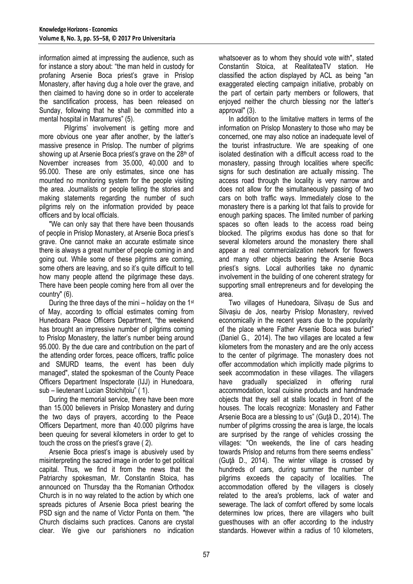information aimed at impressing the audience, such as for instance a story about: "the man held in custody for profaning Arsenie Boca priest's grave in Prislop Monastery, after having dug a hole over the grave, and then claimed to having done so in order to accelerate the sanctification process, has been released on Sunday, following that he shall be committed into a mental hospital in Maramures" (5).

Pilgrims' involvement is getting more and more obvious one year after another, by the latter's massive presence in Prislop. The number of pilgrims showing up at Arsenie Boca priest's grave on the 28th of November increases from 35.000, 40.000 and to 95.000. These are only estimates, since one has mounted no monitoring system for the people visiting the area. Journalists or people telling the stories and making statements regarding the number of such pilgrims rely on the information provided by peace officers and by local officials.

"We can only say that there have been thousands of people in Prislop Monastery, at Arsenie Boca priest's grave. One cannot make an accurate estimate since there is always a great number of people coming in and going out. While some of these pilgrims are coming, some others are leaving, and so it's quite difficult to tell how many people attend the pilgrimage these days. There have been people coming here from all over the country" (6).

During the three days of the mini – holiday on the  $1<sup>st</sup>$ of May, according to official estimates coming from Hunedoara Peace Officers Department, "the weekend has brought an impressive number of pilgrims coming to Prislop Monastery, the latter's number being around 95.000. By the due care and contribution on the part of the attending order forces, peace officers, traffic police and SMURD teams, the event has been duly managed", stated the spokesman of the County Peace Officers Department Inspectorate (IJJ) in Hunedoara, sub – lieutenant Lucian Stoichițoiu" ( 1).

During the memorial service, there have been more than 15.000 believers in Prislop Monastery and during the two days of prayers, according to the Peace Officers Department, more than 40.000 pilgrims have been queuing for several kilometers in order to get to touch the cross on the priest's grave ( 2).

Arsenie Boca priest's image is abusively used by misinterpreting the sacred image in order to get political capital. Thus, we find it from the news that the Patriarchy spokesman, Mr. [Constantin Stoica,](http://www.ziare.com/constantin-stoica/) has announced on Thursday tha the Romanian Orthodox Church is in no way related to the action by which one spreads pictures of Arsenie Boca priest bearing the PSD sign and the name of Victor Ponta on them. "the Church disclaims such practices. Canons are crystal clear. We give our parishioners no indication

whatsoever as to whom they should vote with", stated Constantin Stoica, at RealitateaTV station. He classified the action displayed by ACL as being "an exaggerated electing campaign initiative, probably on the part of certain party members or followers, that enjoyed neither the church blessing nor the latter's approval" (3).

In addition to the limitative matters in terms of the information on Prislop Monastery to those who may be concerned, one may also notice an inadequate level of the tourist infrastructure. We are speaking of one isolated destination with a difficult access road to the monastery, passing through localities where specific signs for such destination are actually missing. The access road through the locality is very narrow and does not allow for the simultaneously passing of two cars on both traffic ways. Immediately close to the monastery there is a parking lot that fails to provide for enough parking spaces. The limited number of parking spaces so often leads to the access road being blocked. The pilgrims exodus has done so that for several kilometers around the monastery there shall appear a real commercialization network for flowers and many other objects bearing the Arsenie Boca priest's signs. Local authorities take no dynamic involvement in the building of one coherent strategy for supporting small entrepreneurs and for developing the area.

Two villages of Hunedoara, Silvașu de Sus and Silvașiu de Jos, nearby Prislop Monastery, revived economically in the recent years due to the popularity of the place where Father Arsenie Boca was buried" (Daniel G., 2014). The two villages are located a few kilometers from the monastery and are the only access to the center of pilgrimage. The monastery does not offer accommodation which implicitly made pilgrims to seek accommodation in these villages. The villagers have gradually specialized in offering rural accommodation, local cuisine products and handmade objects that they sell at stalls located in front of the houses. The locals recognize: Monastery and Father Arsenie Boca are a blessing to us" (Guţă D., 2014). The number of pilgrims crossing the area is large, the locals are surprised by the range of vehicles crossing the villages: "On weekends, the line of cars heading towards Prislop and returns from there seems endless'' (Gută D., 2014). The winter village is crossed by hundreds of cars, during summer the number of pilgrims exceeds the capacity of localities. The accommodation offered by the villagers is closely related to the area's problems, lack of water and sewerage. The lack of comfort offered by some locals determines low prices, there are villagers who built guesthouses with an offer according to the industry standards. However within a radius of 10 kilometers,